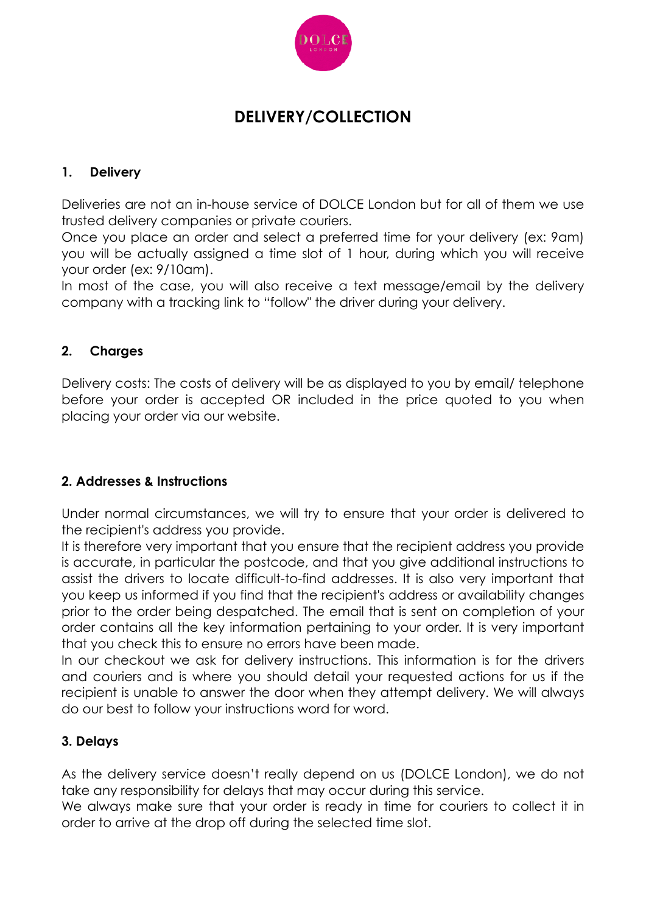

# **DELIVERY/COLLECTION**

## **1. Delivery**

Deliveries are not an in-house service of DOLCE London but for all of them we use trusted delivery companies or private couriers.

Once you place an order and select a preferred time for your delivery (ex: 9am) you will be actually assigned a time slot of 1 hour, during which you will receive your order (ex: 9/10am).

In most of the case, you will also receive a text message/email by the delivery company with a tracking link to "follow" the driver during your delivery.

## **2. Charges**

Delivery costs: The costs of delivery will be as displayed to you by email/ telephone before your order is accepted OR included in the price quoted to you when placing your order via our website.

#### **2. Addresses & Instructions**

Under normal circumstances, we will try to ensure that your order is delivered to the recipient's address you provide.

It is therefore very important that you ensure that the recipient address you provide is accurate, in particular the postcode, and that you give additional instructions to assist the drivers to locate difficult-to-find addresses. It is also very important that you keep us informed if you find that the recipient's address or availability changes prior to the order being despatched. The email that is sent on completion of your order contains all the key information pertaining to your order. It is very important that you check this to ensure no errors have been made.

In our checkout we ask for delivery instructions. This information is for the drivers and couriers and is where you should detail your requested actions for us if the recipient is unable to answer the door when they attempt delivery. We will always do our best to follow your instructions word for word.

#### **3. Delays**

As the delivery service doesn't really depend on us (DOLCE London), we do not take any responsibility for delays that may occur during this service.

We always make sure that your order is ready in time for couriers to collect it in order to arrive at the drop off during the selected time slot.